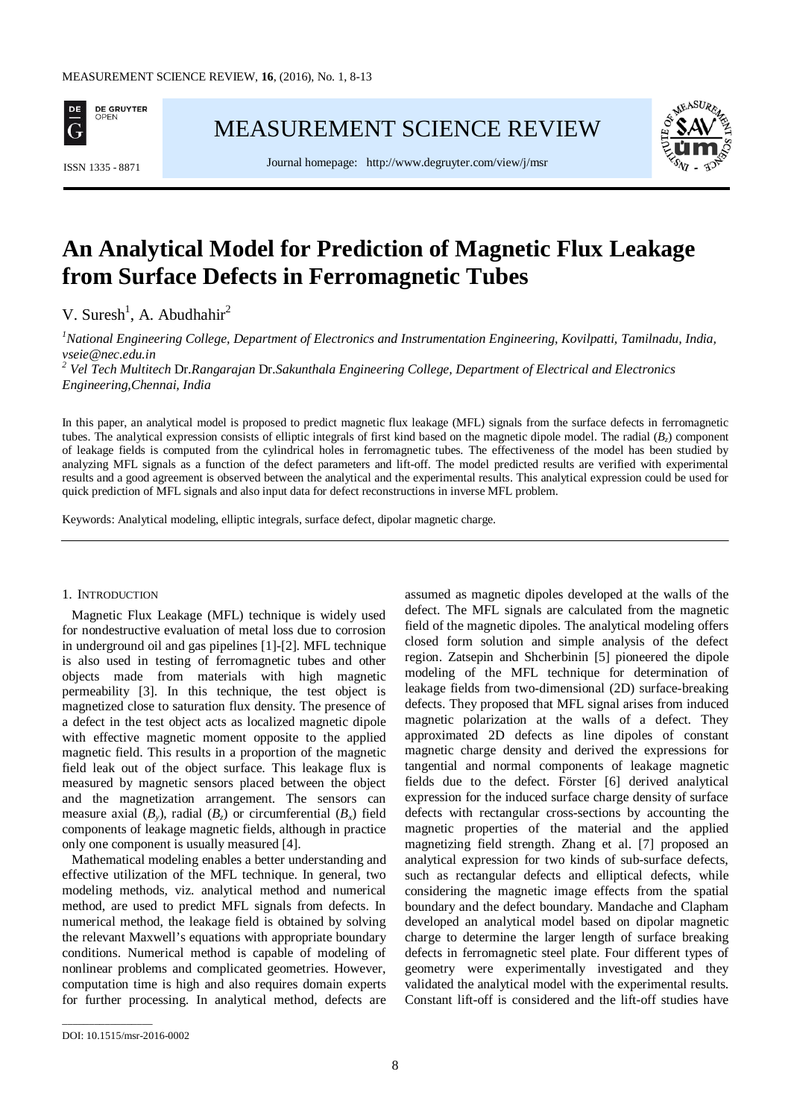

[MEASUREMENT SCIENCE REVIEW](http://www.measurement.sk/)



Journal homepage: <http://www.degruyter.com/view/j/msr> ISSN 1335 - <sup>8871</sup>

# **An Analytical Model for Prediction of Magnetic Flux Leakage from Surface Defects in Ferromagnetic Tubes**

V. Suresh<sup>1</sup>, A. Abudhahir<sup>2</sup>

<sup>1</sup>National Engineering College, Department of Electronics and Instrumentation Engineering, Kovilpatti, Tamilnadu, India, *vseie@nec.edu.in*

*<sup>2</sup> Vel Tech Multitech* Dr*.Rangarajan* Dr*.Sakunthala Engineering College, Department of Electrical and Electronics Engineering,Chennai, India* 

In this paper, an analytical model is proposed to predict magnetic flux leakage (MFL) signals from the surface defects in ferromagnetic tubes. The analytical expression consists of elliptic integrals of first kind based on the magnetic dipole model. The radial (*B<sub>z</sub>*) component of leakage fields is computed from the cylindrical holes in ferromagnetic tubes. The effectiveness of the model has been studied by analyzing MFL signals as a function of the defect parameters and lift-off. The model predicted results are verified with experimental results and a good agreement is observed between the analytical and the experimental results. This analytical expression could be used for quick prediction of MFL signals and also input data for defect reconstructions in inverse MFL problem.

Keywords: Analytical modeling, elliptic integrals, surface defect, dipolar magnetic charge.

#### 1. INTRODUCTION

Magnetic Flux Leakage (MFL) technique is widely used for nondestructive evaluation of metal loss due to corrosion in underground oil and gas pipelines [1]-[2]. MFL technique is also used in testing of ferromagnetic tubes and other objects made from materials with high magnetic permeability [3]. In this technique, the test object is magnetized close to saturation flux density. The presence of a defect in the test object acts as localized magnetic dipole with effective magnetic moment opposite to the applied magnetic field. This results in a proportion of the magnetic field leak out of the object surface. This leakage flux is measured by magnetic sensors placed between the object and the magnetization arrangement. The sensors can measure axial  $(B_y)$ , radial  $(B_z)$  or circumferential  $(B_x)$  field components of leakage magnetic fields, although in practice only one component is usually measured [4].

Mathematical modeling enables a better understanding and effective utilization of the MFL technique. In general, two modeling methods, viz. analytical method and numerical method, are used to predict MFL signals from defects. In numerical method, the leakage field is obtained by solving the relevant Maxwell's equations with appropriate boundary conditions. Numerical method is capable of modeling of nonlinear problems and complicated geometries. However, computation time is high and also requires domain experts for further processing. In analytical method, defects are

assumed as magnetic dipoles developed at the walls of the defect. The MFL signals are calculated from the magnetic field of the magnetic dipoles. The analytical modeling offers closed form solution and simple analysis of the defect region. Zatsepin and Shcherbinin [5] pioneered the dipole modeling of the MFL technique for determination of leakage fields from two-dimensional (2D) surface-breaking defects. They proposed that MFL signal arises from induced magnetic polarization at the walls of a defect. They approximated 2D defects as line dipoles of constant magnetic charge density and derived the expressions for tangential and normal components of leakage magnetic fields due to the defect. Förster [6] derived analytical expression for the induced surface charge density of surface defects with rectangular cross-sections by accounting the magnetic properties of the material and the applied magnetizing field strength. Zhang et al. [7] proposed an analytical expression for two kinds of sub-surface defects, such as rectangular defects and elliptical defects, while considering the magnetic image effects from the spatial boundary and the defect boundary. Mandache and Clapham developed an analytical model based on dipolar magnetic charge to determine the larger length of surface breaking defects in ferromagnetic steel plate. Four different types of geometry were experimentally investigated and they validated the analytical model with the experimental results. Constant lift-off is considered and the lift-off studies have

\_\_\_\_\_\_\_\_\_\_\_\_\_\_\_\_\_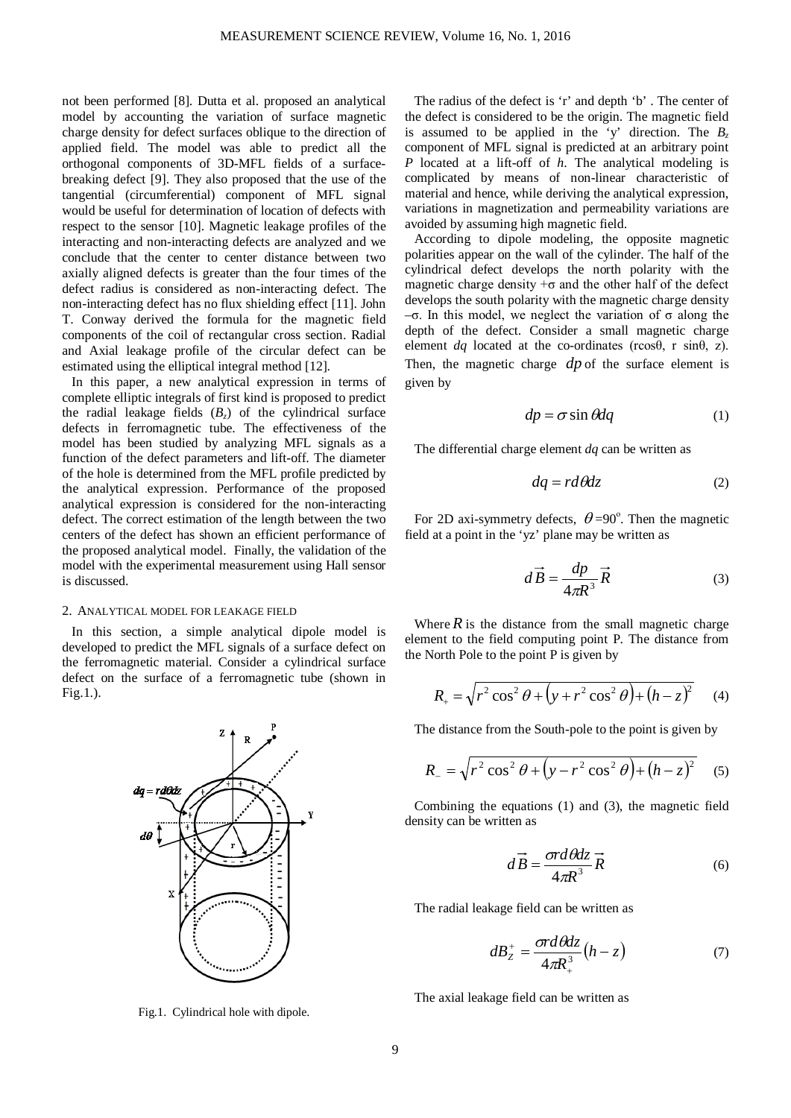not been performed [8]. Dutta et al. proposed an analytical model by accounting the variation of surface magnetic charge density for defect surfaces oblique to the direction of applied field. The model was able to predict all the orthogonal components of 3D-MFL fields of a surfacebreaking defect [9]. They also proposed that the use of the tangential (circumferential) component of MFL signal would be useful for determination of location of defects with respect to the sensor [10]. Magnetic leakage profiles of the interacting and non-interacting defects are analyzed and we conclude that the center to center distance between two axially aligned defects is greater than the four times of the defect radius is considered as non-interacting defect. The non-interacting defect has no flux shielding effect [11]. John T. Conway derived the formula for the magnetic field components of the coil of rectangular cross section. Radial and Axial leakage profile of the circular defect can be estimated using the elliptical integral method [12].

In this paper, a new analytical expression in terms of complete elliptic integrals of first kind is proposed to predict the radial leakage fields  $(B_7)$  of the cylindrical surface defects in ferromagnetic tube. The effectiveness of the model has been studied by analyzing MFL signals as a function of the defect parameters and lift-off. The diameter of the hole is determined from the MFL profile predicted by the analytical expression. Performance of the proposed analytical expression is considered for the non-interacting defect. The correct estimation of the length between the two centers of the defect has shown an efficient performance of the proposed analytical model. Finally, the validation of the model with the experimental measurement using Hall sensor is discussed.

# 2. ANALYTICAL MODEL FOR LEAKAGE FIELD

In this section, a simple analytical dipole model is developed to predict the MFL signals of a surface defect on the ferromagnetic material. Consider a cylindrical surface defect on the surface of a ferromagnetic tube (shown in Fig.1.).



Fig.1. Cylindrical hole with dipole.

The radius of the defect is 'r' and depth 'b' . The center of the defect is considered to be the origin. The magnetic field is assumed to be applied in the 'y' direction. The  $B_7$ component of MFL signal is predicted at an arbitrary point *P* located at a lift-off of *h*. The analytical modeling is complicated by means of non-linear characteristic of material and hence, while deriving the analytical expression, variations in magnetization and permeability variations are avoided by assuming high magnetic field.

According to dipole modeling, the opposite magnetic polarities appear on the wall of the cylinder. The half of the cylindrical defect develops the north polarity with the magnetic charge density  $+\sigma$  and the other half of the defect develops the south polarity with the magnetic charge density –σ. In this model, we neglect the variation of σ along the depth of the defect. Consider a small magnetic charge element *dq* located at the co-ordinates (rcosθ, r sinθ, z). Then, the magnetic charge *dp* of the surface element is given by

$$
dp = \sigma \sin \theta dq \tag{1}
$$

The differential charge element *dq* can be written as

$$
dq = r d\theta dz \tag{2}
$$

For 2D axi-symmetry defects,  $\theta = 90^\circ$ . Then the magnetic field at a point in the 'yz' plane may be written as

$$
d\vec{B} = \frac{dp}{4\pi R^3} \vec{R}
$$
 (3)

Where  $\hat{R}$  is the distance from the small magnetic charge element to the field computing point P. The distance from the North Pole to the point P is given by

$$
R_{+} = \sqrt{r^2 \cos^2 \theta + (y + r^2 \cos^2 \theta) + (h - z)^2}
$$
 (4)

The distance from the South-pole to the point is given by

$$
R_{-} = \sqrt{r^2 \cos^2 \theta + (y - r^2 \cos^2 \theta) + (h - z)^2}
$$
 (5)

Combining the equations (1) and (3), the magnetic field density can be written as

$$
d\vec{B} = \frac{\sigma d\theta dz}{4\pi R^3} \vec{R}
$$
 (6)

The radial leakage field can be written as

$$
dB_z^+ = \frac{\sigma r d\theta dz}{4\pi R_+^3} (h - z) \tag{7}
$$

The axial leakage field can be written as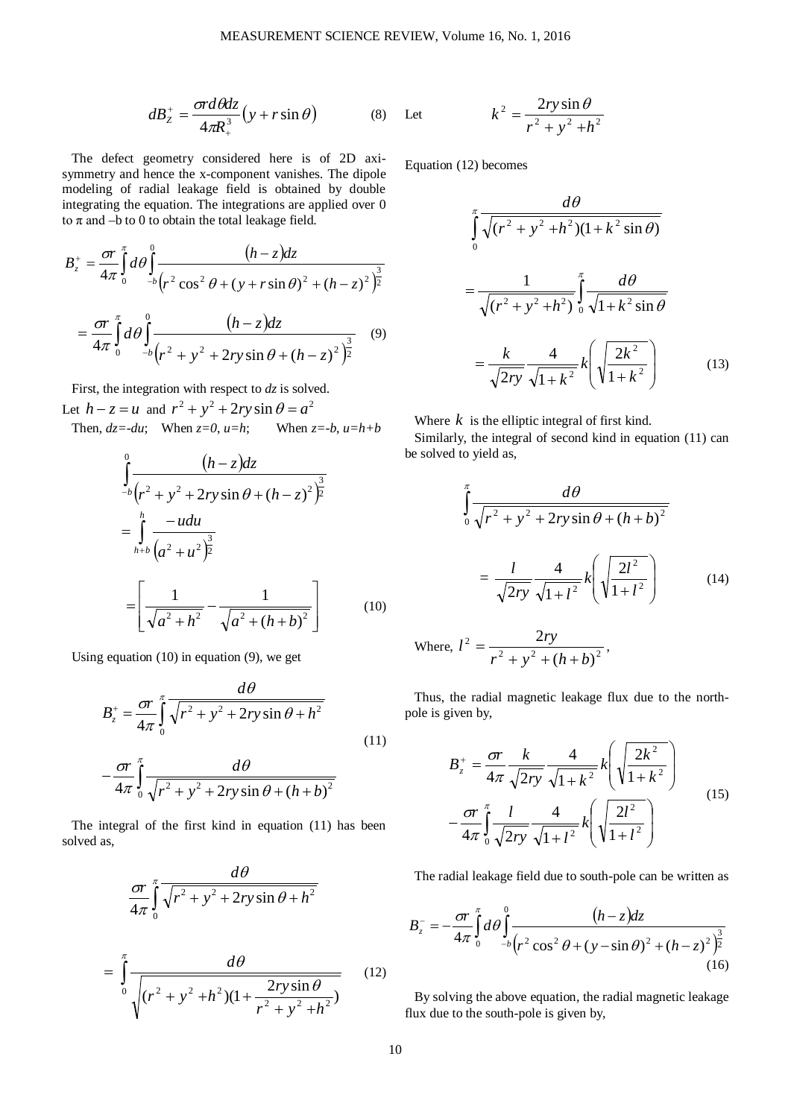$$
dB_z^+ = \frac{\sigma r d\theta dz}{4\pi R_+^3} (y + r \sin \theta)
$$
 (8)

The defect geometry considered here is of 2D axisymmetry and hence the x-component vanishes. The dipole modeling of radial leakage field is obtained by double integrating the equation. The integrations are applied over 0 to  $\pi$  and  $-b$  to 0 to obtain the total leakage field.

$$
B_z^+ = \frac{\sigma r}{4\pi} \int_0^{\pi} d\theta \int_{-b}^0 \frac{(h-z)dz}{(r^2 \cos^2 \theta + (y + r \sin \theta)^2 + (h - z)^2)^{\frac{3}{2}}} = \frac{\sigma r}{4\pi} \int_0^{\pi} d\theta \int_{-b}^0 \frac{(h-z)dz}{(r^2 + y^2 + 2ry \sin \theta + (h - z)^2)^{\frac{3}{2}}} \tag{9}
$$

First, the integration with respect to *dz* is solved.

Let  $h - z = u$  and  $r^2 + y^2 + 2ry\sin\theta = a^2$ Then,  $dz = -du$ ; When  $z = 0$ ,  $u=h$ ; When  $z = -b$ ,  $u=h+b$ 

$$
\int_{-b}^{0} \frac{(h-z)dz}{(r^2 + y^2 + 2ry\sin\theta + (h-z)^2)^{\frac{3}{2}}} \n= \int_{h+b}^{h} \frac{-udu}{(a^2 + u^2)^{\frac{3}{2}}} \n= \left[\frac{1}{\sqrt{a^2 + h^2}} - \frac{1}{\sqrt{a^2 + (h+b)^2}}\right]
$$
(10)

Using equation (10) in equation (9), we get

$$
B_z^+ = \frac{\sigma r}{4\pi} \int_0^\pi \frac{d\theta}{\sqrt{r^2 + y^2 + 2ry\sin\theta + h^2}}
$$
  
or  $\int_0^\pi$   $d\theta$  (11)

$$
-\frac{b}{4\pi}\int\limits_0^{\pi}\frac{a\sigma}{\sqrt{r^2+y^2+2ry\sin\theta+(h+b)^2}}
$$

The integral of the first kind in equation (11) has been solved as,

$$
\frac{\sigma r}{4\pi} \int_{0}^{\pi} \frac{d\theta}{\sqrt{r^2 + y^2 + 2ry\sin\theta + h^2}}
$$
\n
$$
= \int_{0}^{\pi} \frac{d\theta}{\sqrt{(r^2 + y^2 + h^2)(1 + \frac{2ry\sin\theta}{r^2 + y^2 + h^2})}}
$$
(12)

Let 
$$
k^2 = \frac{2ry\sin\theta}{r^2 + y^2 + h^2}
$$

Equation (12) becomes

$$
\int_{0}^{\pi} \frac{d\theta}{\sqrt{(r^{2} + y^{2} + h^{2})(1 + k^{2} \sin \theta)}}\n= \frac{1}{\sqrt{(r^{2} + y^{2} + h^{2})}} \int_{0}^{\pi} \frac{d\theta}{\sqrt{1 + k^{2} \sin \theta}}\n= \frac{k}{\sqrt{2ry}} \frac{4}{\sqrt{1 + k^{2}}} k\left(\sqrt{\frac{2k^{2}}{1 + k^{2}}}\right)
$$
(13)

Where  $k$  is the elliptic integral of first kind.

Similarly, the integral of second kind in equation (11) can be solved to yield as,

$$
\int_{0}^{\pi} \frac{d\theta}{\sqrt{r^2 + y^2 + 2ry\sin\theta + (h+b)^2}}
$$

$$
= \frac{l}{\sqrt{2ry}} \frac{4}{\sqrt{1 + l^2}} k \left(\sqrt{\frac{2l^2}{1 + l^2}}\right) \tag{14}
$$

Where, 
$$
l^2 = \frac{2ry}{r^2 + y^2 + (h+b)^2}
$$
,

Thus, the radial magnetic leakage flux due to the northpole is given by,

$$
B_z^+ = \frac{\sigma r}{4\pi} \frac{k}{\sqrt{2ry}} \frac{4}{\sqrt{1+k^2}} k \left( \sqrt{\frac{2k^2}{1+k^2}} \right)
$$

$$
- \frac{\sigma r}{4\pi} \int_0^{\pi} \frac{l}{\sqrt{2ry}} \frac{4}{\sqrt{1+l^2}} k \left( \sqrt{\frac{2l^2}{1+l^2}} \right)
$$
(15)

The radial leakage field due to south-pole can be written as

$$
B_z^{-} = -\frac{\sigma r}{4\pi} \int_0^{\pi} d\theta \int_{-b}^0 \frac{(h-z)dz}{(r^2 \cos^2 \theta + (y - \sin \theta)^2 + (h - z)^2)^{\frac{3}{2}}} \tag{16}
$$

By solving the above equation, the radial magnetic leakage flux due to the south-pole is given by,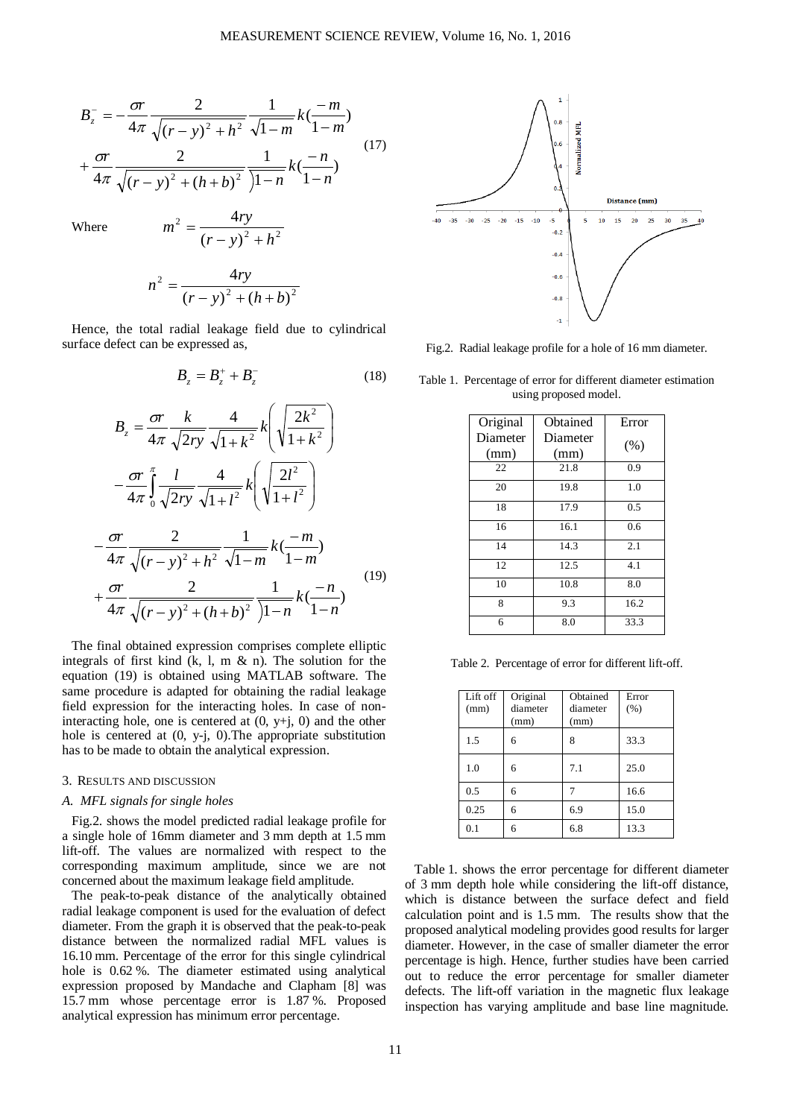$$
B_z^- = -\frac{\sigma r}{4\pi} \frac{2}{\sqrt{(r-y)^2 + h^2}} \frac{1}{\sqrt{1-m}} k(\frac{-m}{1-m}) + \frac{\sigma r}{4\pi} \frac{2}{\sqrt{(r-y)^2 + (h+b)^2}} \frac{1}{\sqrt{1-n}} k(\frac{-n}{1-n})
$$
(17)

Where  $m^2 = \frac{47y}{(x - y)^2 + h^2}$ 

$$
n^{2} = \frac{4ry}{(r-y)^{2} + (h+b)^{2}}
$$

 $(r - y)$ 4  $m^2 = \frac{4ry}{(r-y)^2 + h^2}$ 

Hence, the total radial leakage field due to cylindrical surface defect can be expressed as,

$$
B_z = B_z^+ + B_z^- \tag{18}
$$

$$
B_{z} = \frac{\sigma r}{4\pi} \frac{k}{\sqrt{2ry}} \frac{4}{\sqrt{1+k^{2}}} k \left( \sqrt{\frac{2k^{2}}{1+k^{2}}} \right)
$$

$$
- \frac{\sigma r}{4\pi} \int_{0}^{\pi} \frac{l}{\sqrt{2ry}} \frac{4}{\sqrt{1+l^{2}}} k \left( \sqrt{\frac{2l^{2}}{1+l^{2}}} \right)
$$

$$
- \frac{\sigma r}{4\pi} \frac{2}{\sqrt{(r-y)^{2}+h^{2}}} \frac{1}{\sqrt{1-m}} k \left( \frac{-m}{1-m} \right)
$$

$$
+ \frac{\sigma r}{4\pi} \frac{2}{\sqrt{(r-y)^{2}+(h+b)^{2}}} \frac{1}{\sqrt{1-n}} k \left( \frac{-n}{1-n} \right) \tag{19}
$$

The final obtained expression comprises complete elliptic integrals of first kind (k, l, m & n). The solution for the equation (19) is obtained using MATLAB software. The same procedure is adapted for obtaining the radial leakage field expression for the interacting holes. In case of noninteracting hole, one is centered at  $(0, y+j, 0)$  and the other hole is centered at (0, y-j, 0).The appropriate substitution has to be made to obtain the analytical expression.

#### 3. RESULTS AND DISCUSSION

#### *A. MFL signals for single holes*

Fig.2. shows the model predicted radial leakage profile for a single hole of 16mm diameter and 3 mm depth at 1.5 mm lift-off. The values are normalized with respect to the corresponding maximum amplitude, since we are not concerned about the maximum leakage field amplitude.

The peak-to-peak distance of the analytically obtained radial leakage component is used for the evaluation of defect diameter. From the graph it is observed that the peak-to-peak distance between the normalized radial MFL values is 16.10 mm. Percentage of the error for this single cylindrical hole is  $0.62$  %. The diameter estimated using analytical expression proposed by Mandache and Clapham [8] was 15.7 mm whose percentage error is 1.87 %. Proposed analytical expression has minimum error percentage.



Fig.2. Radial leakage profile for a hole of 16 mm diameter.

| Original | Obtained | Error  |
|----------|----------|--------|
| Diameter | Diameter |        |
| (mm)     | (mm)     | $(\%)$ |
| 22       | 21.8     | 0.9    |
| 20       | 19.8     | 1.0    |
| 18       | 17.9     | 0.5    |
| 16       | 16.1     | 0.6    |
| 14       | 14.3     | 2.1    |
| 12       | 12.5     | 4.1    |
| 10       | 10.8     | 8.0    |
| 8        | 9.3      | 16.2   |
| 6        | 8.0      | 33.3   |

Table 1. Percentage of error for different diameter estimation using proposed model.

Table 2. Percentage of error for different lift-off.

| Lift off<br>(mm) | Original<br>diameter<br>(mm) | Obtained<br>diameter<br>(mm) | Error<br>(% ) |
|------------------|------------------------------|------------------------------|---------------|
| 1.5              | 6                            | 8                            | 33.3          |
| 1.0              | 6                            | 7.1                          | 25.0          |
| 0.5              | 6                            |                              | 16.6          |
| 0.25             | 6                            | 6.9                          | 15.0          |
| 0.1              | 6                            | 6.8                          | 13.3          |

Table 1. shows the error percentage for different diameter of 3 mm depth hole while considering the lift-off distance, which is distance between the surface defect and field calculation point and is 1.5 mm. The results show that the proposed analytical modeling provides good results for larger diameter. However, in the case of smaller diameter the error percentage is high. Hence, further studies have been carried out to reduce the error percentage for smaller diameter defects. The lift-off variation in the magnetic flux leakage inspection has varying amplitude and base line magnitude.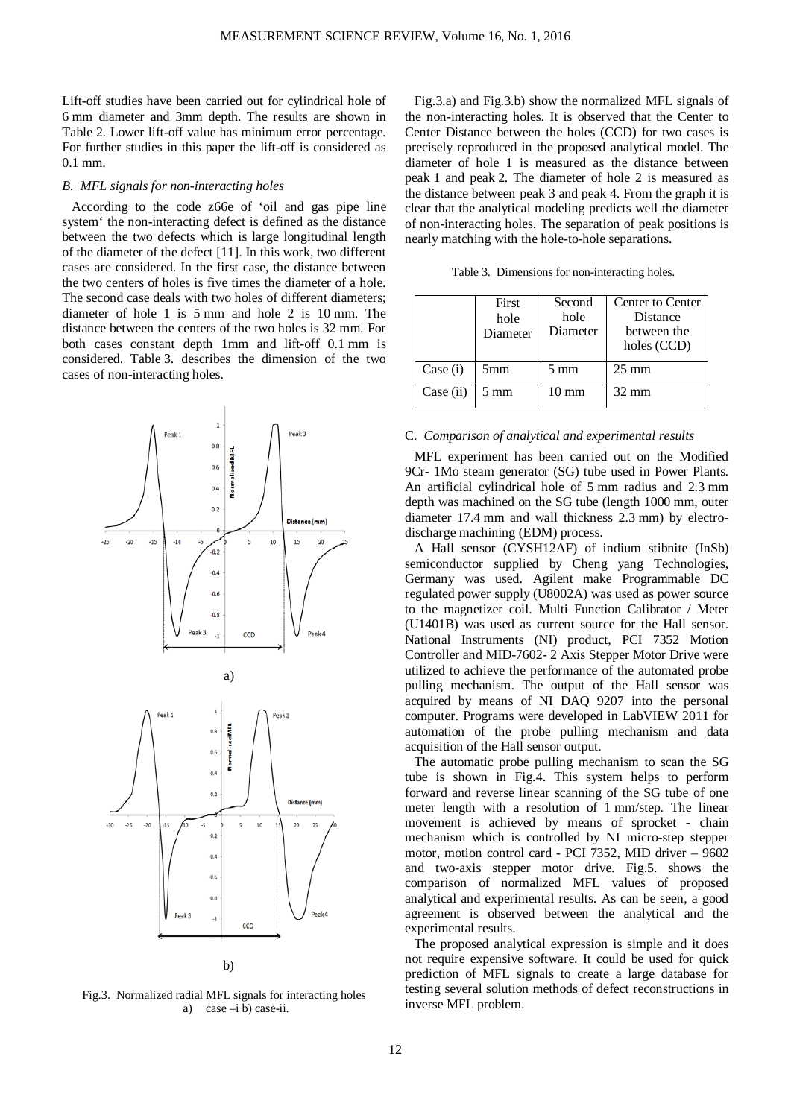Lift-off studies have been carried out for cylindrical hole of 6 mm diameter and 3mm depth. The results are shown in Table 2. Lower lift-off value has minimum error percentage. For further studies in this paper the lift-off is considered as 0.1 mm.

## *B. MFL signals for non-interacting holes*

According to the code z66e of 'oil and gas pipe line system' the non-interacting defect is defined as the distance between the two defects which is large longitudinal length of the diameter of the defect [11]. In this work, two different cases are considered. In the first case, the distance between the two centers of holes is five times the diameter of a hole. The second case deals with two holes of different diameters; diameter of hole 1 is 5 mm and hole 2 is 10 mm. The distance between the centers of the two holes is 32 mm. For both cases constant depth 1mm and lift-off 0.1 mm is considered. Table 3. describes the dimension of the two cases of non-interacting holes.



Fig.3. Normalized radial MFL signals for interacting holes a) case  $-i$  b) case-ii.

Fig.3.a) and Fig.3.b) show the normalized MFL signals of the non-interacting holes. It is observed that the Center to Center Distance between the holes (CCD) for two cases is precisely reproduced in the proposed analytical model. The diameter of hole 1 is measured as the distance between peak 1 and peak 2. The diameter of hole 2 is measured as the distance between peak 3 and peak 4. From the graph it is clear that the analytical modeling predicts well the diameter of non-interacting holes. The separation of peak positions is nearly matching with the hole-to-hole separations.

Table 3. Dimensions for non-interacting holes.

|           | First<br>hole<br>Diameter | Second<br>hole<br>Diameter | Center to Center<br>Distance<br>between the<br>holes (CCD) |
|-----------|---------------------------|----------------------------|------------------------------------------------------------|
| Case (i)  | 5 <sub>mm</sub>           | $5 \text{ mm}$             | $25 \text{ mm}$                                            |
| Case (ii) | $5 \text{ mm}$            | $10 \text{ mm}$            | $32 \text{ mm}$                                            |

#### C. *Comparison of analytical and experimental results*

MFL experiment has been carried out on the Modified 9Cr- 1Mo steam generator (SG) tube used in Power Plants. An artificial cylindrical hole of 5 mm radius and 2.3 mm depth was machined on the SG tube (length 1000 mm, outer diameter 17.4 mm and wall thickness 2.3 mm) by electrodischarge machining (EDM) process.

A Hall sensor (CYSH12AF) of indium stibnite (InSb) semiconductor supplied by Cheng yang Technologies, Germany was used. Agilent make Programmable DC regulated power supply (U8002A) was used as power source to the magnetizer coil. Multi Function Calibrator / Meter (U1401B) was used as current source for the Hall sensor. National Instruments (NI) product, PCI 7352 Motion Controller and MID-7602- 2 Axis Stepper Motor Drive were utilized to achieve the performance of the automated probe pulling mechanism. The output of the Hall sensor was acquired by means of NI DAQ 9207 into the personal computer. Programs were developed in LabVIEW 2011 for automation of the probe pulling mechanism and data acquisition of the Hall sensor output.

The automatic probe pulling mechanism to scan the SG tube is shown in Fig.4. This system helps to perform forward and reverse linear scanning of the SG tube of one meter length with a resolution of 1 mm/step. The linear movement is achieved by means of sprocket - chain mechanism which is controlled by NI micro-step stepper motor, motion control card - PCI 7352, MID driver – 9602 and two-axis stepper motor drive. Fig.5. shows the comparison of normalized MFL values of proposed analytical and experimental results. As can be seen, a good agreement is observed between the analytical and the experimental results.

The proposed analytical expression is simple and it does not require expensive software. It could be used for quick prediction of MFL signals to create a large database for testing several solution methods of defect reconstructions in inverse MFL problem.